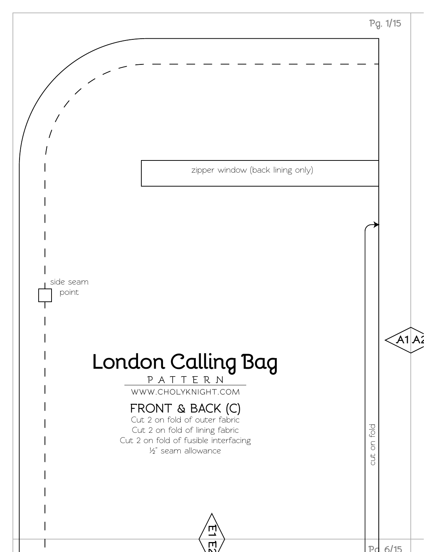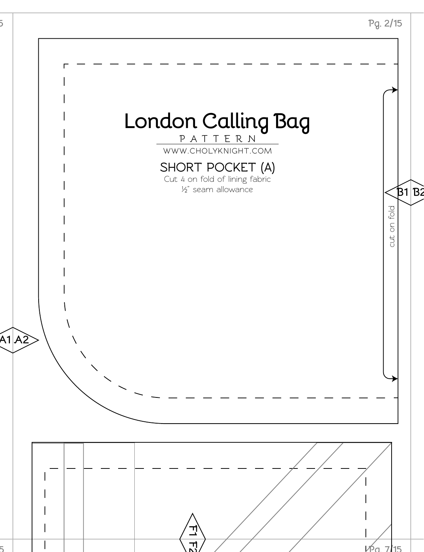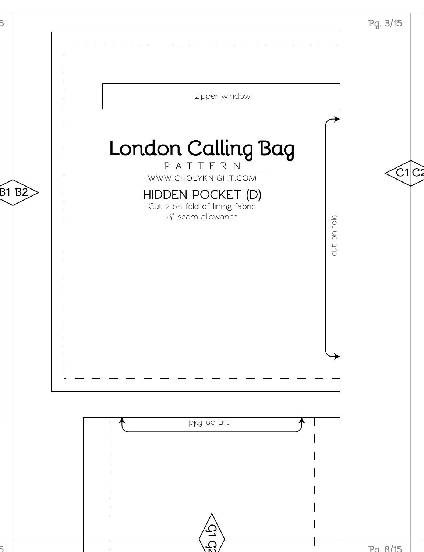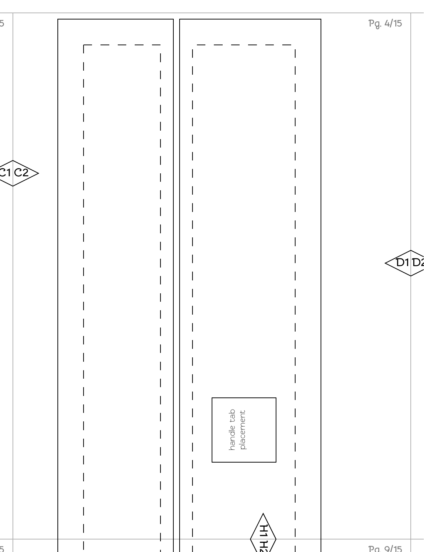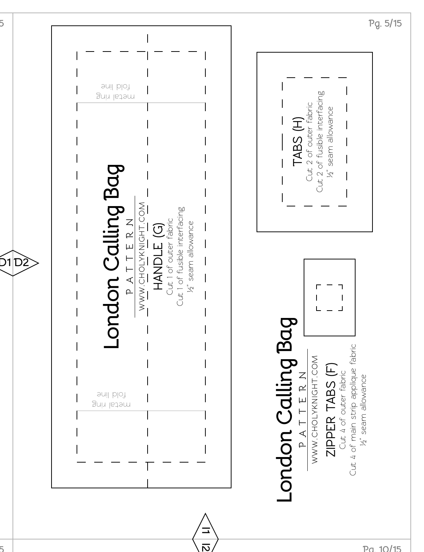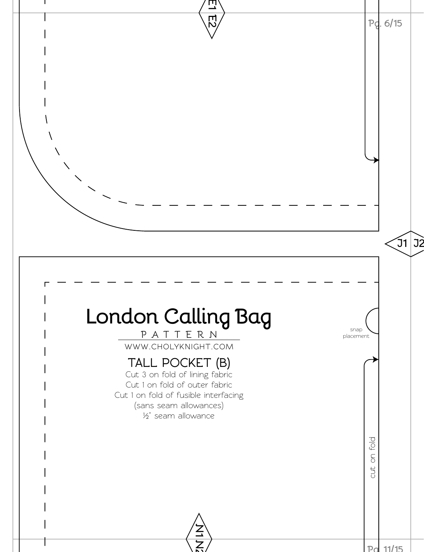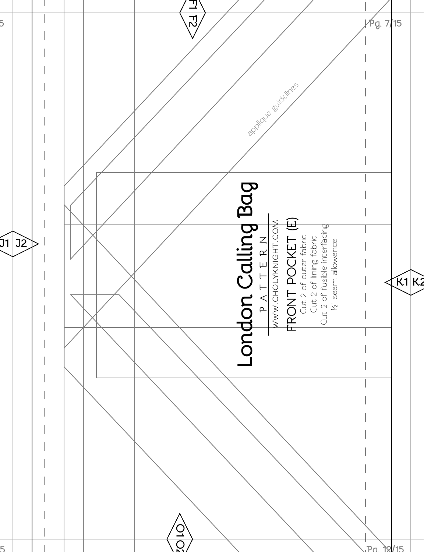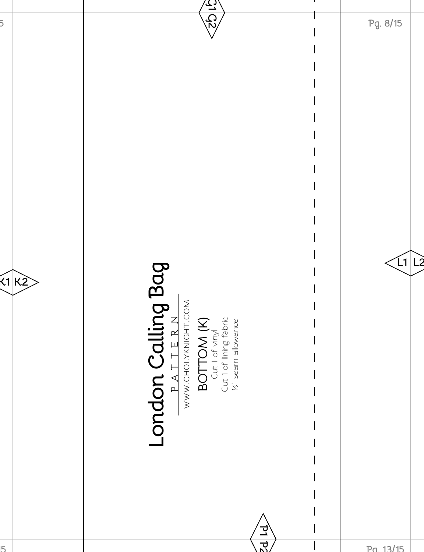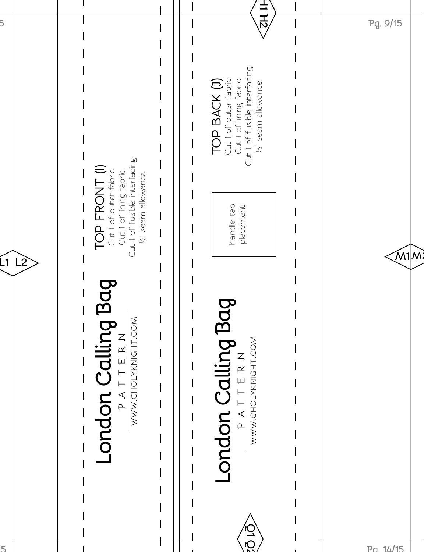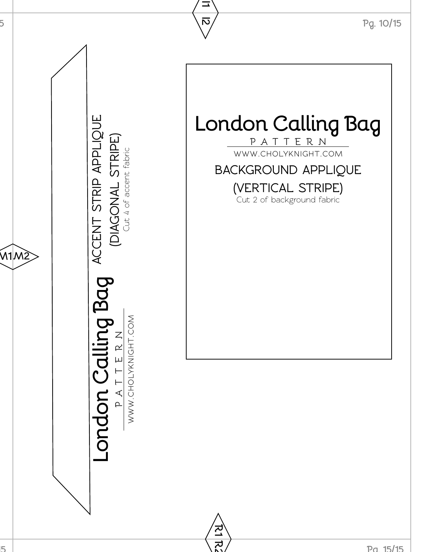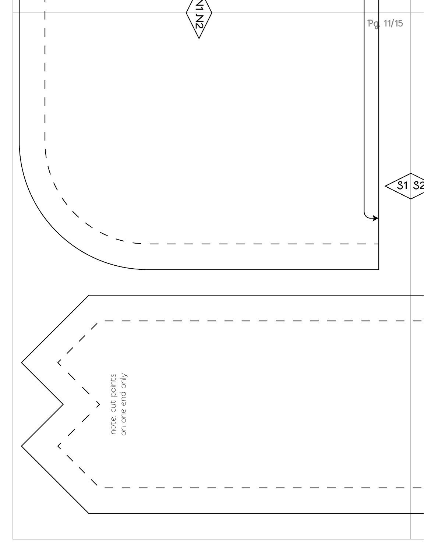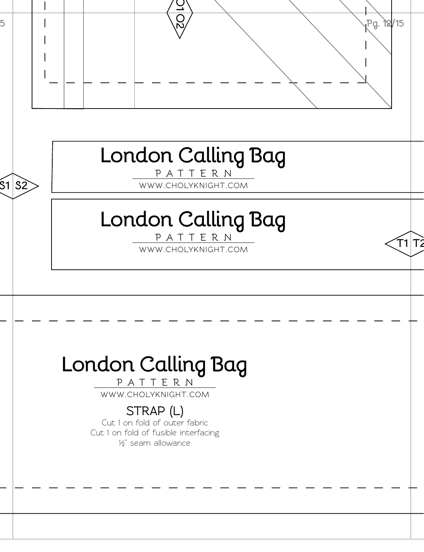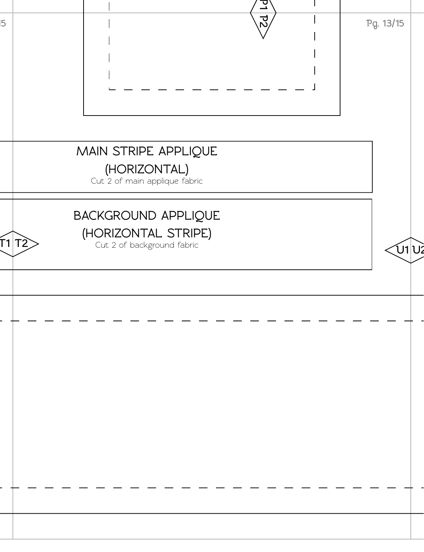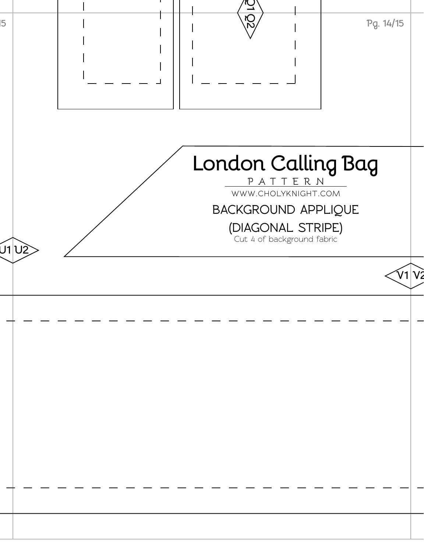